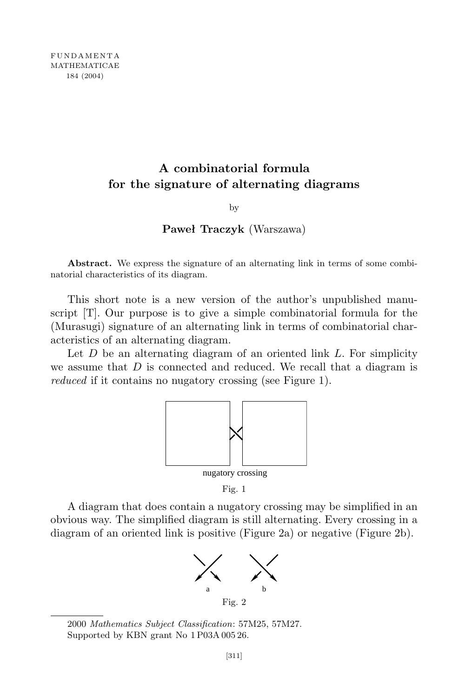# **A combinatorial formula for the signature of alternating diagrams**

## by

# **Paweł Traczyk** (Warszawa)

**Abstract.** We express the signature of an alternating link in terms of some combinatorial characteristics of its diagram.

This short note is a new version of the author's unpublished manuscript [T]. Our purpose is to give a simple combinatorial formula for the (Murasugi) signature of an alternating link in terms of combinatorial characteristics of an alternating diagram.

Let *D* be an alternating diagram of an oriented link *L*. For simplicity we assume that *D* is connected and reduced. We recall that a diagram is *reduced* if it contains no nugatory crossing (see Figure 1).



nugatory crossing

Fig. 1

A diagram that does contain a nugatory crossing may be simplified in an obvious way. The simplified diagram is still alternating. Every crossing in a diagram of an oriented link is positive (Figure 2a) or negative (Figure 2b).



<sup>2000</sup> *Mathematics Subject Classification*: 57M25, 57M27. Supported by KBN grant No 1 P03A 005 26.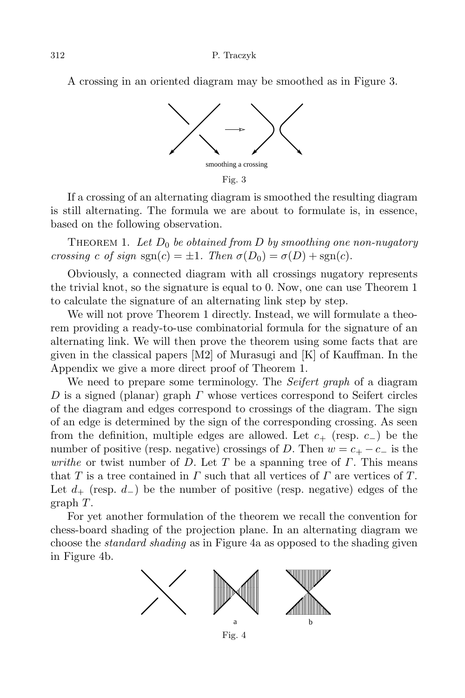A crossing in an oriented diagram may be smoothed as in Figure 3.



Fig. 3

If a crossing of an alternating diagram is smoothed the resulting diagram is still alternating. The formula we are about to formulate is, in essence, based on the following observation.

THEOREM 1. Let  $D_0$  be obtained from D by smoothing one non-nugatory *crossing c of sign*  $sgn(c) = \pm 1$ *. Then*  $\sigma(D_0) = \sigma(D) + sgn(c)$ *.* 

Obviously, a connected diagram with all crossings nugatory represents the trivial knot, so the signature is equal to 0*.* Now, one can use Theorem 1 to calculate the signature of an alternating link step by step.

We will not prove Theorem 1 directly. Instead, we will formulate a theorem providing a ready-to-use combinatorial formula for the signature of an alternating link. We will then prove the theorem using some facts that are given in the classical papers [M2] of Murasugi and [K] of Kauffman. In the Appendix we give a more direct proof of Theorem 1.

We need to prepare some terminology. The *Seifert graph* of a diagram *D* is a signed (planar) graph *Γ* whose vertices correspond to Seifert circles of the diagram and edges correspond to crossings of the diagram. The sign of an edge is determined by the sign of the corresponding crossing. As seen from the definition, multiple edges are allowed. Let *c*<sup>+</sup> (resp. *c−*) be the number of positive (resp. negative) crossings of *D*. Then  $w = c_{+} - c_{-}$  is the *writhe* or twist number of *D.* Let *T* be a spanning tree of *Γ*. This means that *T* is a tree contained in *Γ* such that all vertices of *Γ* are vertices of *T*. Let *d*<sup>+</sup> (resp. *d−*) be the number of positive (resp. negative) edges of the graph *T*.

For yet another formulation of the theorem we recall the convention for chess-board shading of the projection plane. In an alternating diagram we choose the *standard shading* as in Figure 4a as opposed to the shading given in Figure 4b.



Fig. 4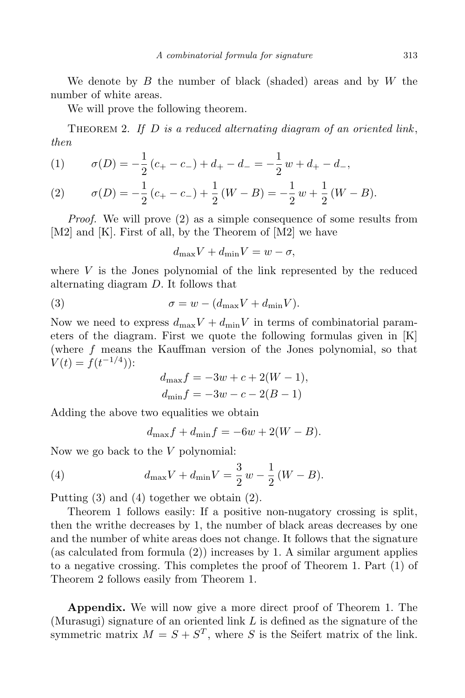We denote by *B* the number of black (shaded) areas and by *W* the number of white areas.

We will prove the following theorem.

Theorem 2. *If D is a reduced alternating diagram of an oriented link*, *then*

(1) 
$$
\sigma(D) = -\frac{1}{2}(c_+ - c_-) + d_+ - d_- = -\frac{1}{2}w + d_+ - d_-,
$$

(2) 
$$
\sigma(D) = -\frac{1}{2}(c_+ - c_-) + \frac{1}{2}(W - B) = -\frac{1}{2}w + \frac{1}{2}(W - B).
$$

*Proof.* We will prove (2) as a simple consequence of some results from [M2] and [K]. First of all, by the Theorem of [M2] we have

$$
d_{\max}V + d_{\min}V = w - \sigma,
$$

where *V* is the Jones polynomial of the link represented by the reduced alternating diagram *D.* It follows that

(3) 
$$
\sigma = w - (d_{\max}V + d_{\min}V).
$$

Now we need to express  $d_{\text{max}}V + d_{\text{min}}V$  in terms of combinatorial parameters of the diagram. First we quote the following formulas given in  $[K]$ (where *f* means the Kauffman version of the Jones polynomial, so that  $V(t) = f(t^{-1/4})$ :

$$
d_{\max}f = -3w + c + 2(W - 1),
$$
  

$$
d_{\min}f = -3w - c - 2(B - 1)
$$

Adding the above two equalities we obtain

 $d_{\text{max}}f + d_{\text{min}}f = -6w + 2(W - B).$ 

Now we go back to the *V* polynomial:

(4) 
$$
d_{\max}V + d_{\min}V = \frac{3}{2}w - \frac{1}{2}(W - B).
$$

Putting (3) and (4) together we obtain (2).

Theorem 1 follows easily: If a positive non-nugatory crossing is split, then the writhe decreases by 1, the number of black areas decreases by one and the number of white areas does not change. It follows that the signature (as calculated from formula  $(2)$ ) increases by 1. A similar argument applies to a negative crossing. This completes the proof of Theorem 1. Part (1) of Theorem 2 follows easily from Theorem 1.

**Appendix.** We will now give a more direct proof of Theorem 1. The (Murasugi) signature of an oriented link *L* is defined as the signature of the symmetric matrix  $M = S + S^T$ , where *S* is the Seifert matrix of the link.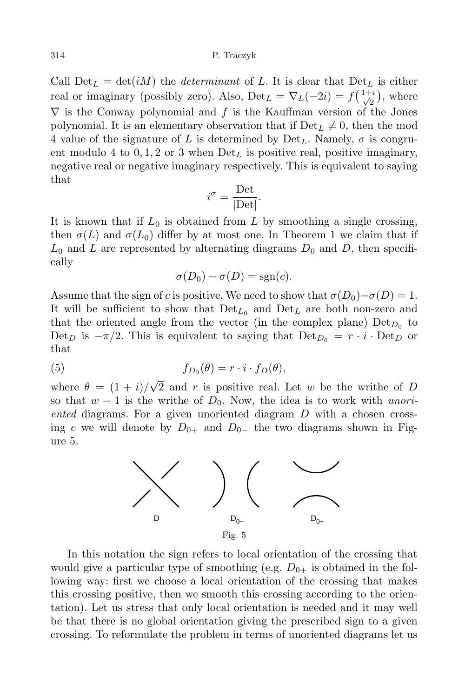Call  $Det_L = det(iM)$  the *determinant* of *L*. It is clear that  $Det_L$  is either real or imaginary (possibly zero). Also,  $Det_L = \nabla_L(-2i) = f(\frac{1+i}{\sqrt{2}})$  $\frac{(-i)}{2}$ , where *∇* is the Conway polynomial and *f* is the Kauffman version of the Jones polynomial. It is an elementary observation that if  $Det_L \neq 0$ , then the mod 4 value of the signature of *L* is determined by  $Det_L$ . Namely,  $\sigma$  is congruent modulo 4 to  $0, 1, 2$  or 3 when  $Det_L$  is positive real, positive imaginary, negative real or negative imaginary respectively. This is equivalent to saying that

$$
i^{\sigma} = \frac{\text{Det}}{|\text{Det}|}.
$$

It is known that if  $L_0$  is obtained from  $L$  by smoothing a single crossing, then  $\sigma(L)$  and  $\sigma(L_0)$  differ by at most one. In Theorem 1 we claim that if  $L_0$  and  $L$  are represented by alternating diagrams  $D_0$  and  $D$ , then specifically

$$
\sigma(D_0) - \sigma(D) = \text{sgn}(c).
$$

Assume that the sign of *c* is positive. We need to show that  $\sigma(D_0) - \sigma(D) = 1$ . It will be sufficient to show that  $Det_{L_0}$  and  $Det_L$  are both non-zero and that the oriented angle from the vector (in the complex plane)  $Det_{D_0}$  to Det<sub>*D*</sub> is  $-\pi/2$ . This is equivalent to saying that  $Det_{D_0} = r \cdot i \cdot Det_D$  or that

(5) 
$$
f_{D_0}(\theta) = r \cdot i \cdot f_D(\theta),
$$

where  $\theta = (1 + i)/\sqrt{2}$  and *r* is positive real. Let *w* be the writhe of *D* so that  $w - 1$  is the writhe of  $D_0$ . Now, the idea is to work with *unoriented* diagrams. For a given unoriented diagram *D* with a chosen crossing *c* we will denote by  $D_{0+}$  and  $D_{0-}$  the two diagrams shown in Figure 5.



In this notation the sign refers to local orientation of the crossing that would give a particular type of smoothing (e.g.  $D_{0+}$  is obtained in the following way: first we choose a local orientation of the crossing that makes this crossing positive, then we smooth this crossing according to the orientation). Let us stress that only local orientation is needed and it may well be that there is no global orientation giving the prescribed sign to a given crossing. To reformulate the problem in terms of unoriented diagrams let us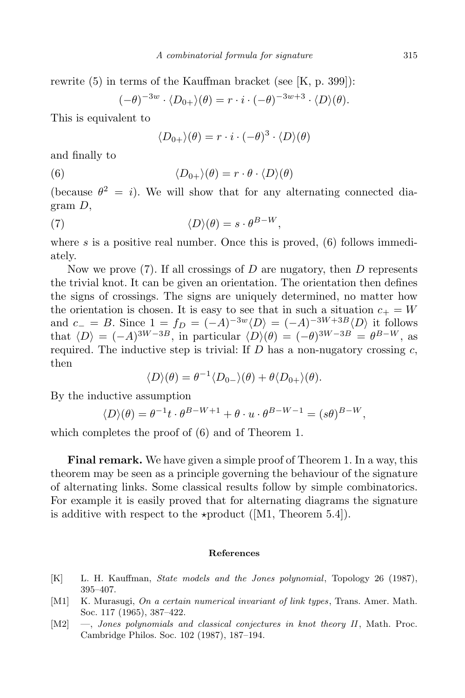rewrite (5) in terms of the Kauffman bracket (see [K, p. 399]):

$$
(-\theta)^{-3w} \cdot \langle D_{0+} \rangle (\theta) = r \cdot i \cdot (-\theta)^{-3w+3} \cdot \langle D \rangle (\theta).
$$

This is equivalent to

$$
\langle D_{0+} \rangle(\theta) = r \cdot i \cdot (-\theta)^3 \cdot \langle D \rangle(\theta)
$$

and finally to

(6) 
$$
\langle D_{0+} \rangle(\theta) = r \cdot \theta \cdot \langle D \rangle(\theta)
$$

(because  $\theta^2 = i$ ). We will show that for any alternating connected diagram *D*,

(7) 
$$
\langle D \rangle (\theta) = s \cdot \theta^{B-W},
$$

where *s* is a positive real number. Once this is proved, (6) follows immediately.

Now we prove (7). If all crossings of *D* are nugatory, then *D* represents the trivial knot. It can be given an orientation. The orientation then defines the signs of crossings. The signs are uniquely determined, no matter how the orientation is chosen. It is easy to see that in such a situation  $c_{+} = W$ and  $c_{-} = B$ . Since  $1 = f_D = (-A)^{-3w} \langle D \rangle = (-A)^{-3W+3B} \langle D \rangle$  it follows that  $\langle D \rangle = (-A)^{3W-3B}$ , in particular  $\langle D \rangle (\theta) = (-\theta)^{3W-3B} = \theta^{B-W}$ , as required. The inductive step is trivial: If *D* has a non-nugatory crossing *c,* then

$$
\langle D \rangle (\theta) = \theta^{-1} \langle D_{0-} \rangle (\theta) + \theta \langle D_{0+} \rangle (\theta).
$$

By the inductive assumption

$$
\langle D \rangle (\theta) = \theta^{-1} t \cdot \theta^{B-W+1} + \theta \cdot u \cdot \theta^{B-W-1} = (s\theta)^{B-W},
$$

which completes the proof of (6) and of Theorem 1.

**Final remark.** We have given a simple proof of Theorem 1. In a way, this theorem may be seen as a principle governing the behaviour of the signature of alternating links. Some classical results follow by simple combinatorics. For example it is easily proved that for alternating diagrams the signature is additive with respect to the  $\star$ product ([M1, Theorem 5.4]).

### **References**

- [K] L. H. Kauffman, *State models and the Jones polynomial*, Topology 26 (1987), 395–407.
- [M1] K. Murasugi, *On a certain numerical invariant of link types*, Trans. Amer. Math. Soc. 117 (1965), 387–422.
- [M2] —, *Jones polynomials and classical conjectures in knot theory II*, Math. Proc. Cambridge Philos. Soc. 102 (1987), 187–194.